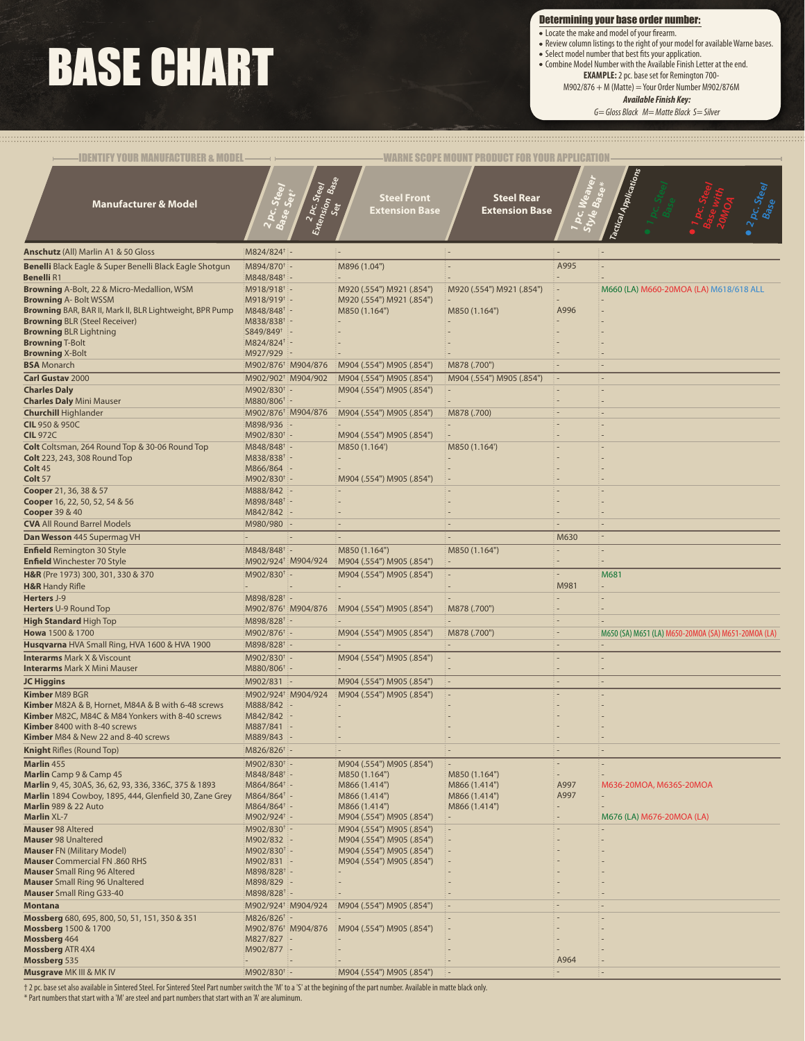## BASE CHART

Determining your base order number:

- Locate the make and model of your firearm.
- Review column listings to the right of your model for available Warne bases. • Select model number that best fits your application.
	-
- Combine Model Number with the Available Finish Letter at the end. **EXAMPLE:** 2 pc. base set for Remington 700-
	- $M902/876 + M (Matter) = Your Order Number M902/876M$

*Available Finish Key:*

*G= Gloss Black M= Matte Black S= Silver*

| <b>IDENTIFY YOUR MANUFACTURER &amp; MODEL</b>                                                    |                                                           |                                    |                                            | WARNE SCOPE MOUNT PRODUCT FOR YOUR APPLICATIO |                          |                                                     |
|--------------------------------------------------------------------------------------------------|-----------------------------------------------------------|------------------------------------|--------------------------------------------|-----------------------------------------------|--------------------------|-----------------------------------------------------|
| <b>Manufacturer &amp; Model</b>                                                                  |                                                           | 2 pc Steel<br>tension<br>Set<br>ئى | <b>Steel Front</b><br>Extension Base       | <b>Steel Rear</b><br><b>Extension Base</b>    |                          | Tactical Applications<br>2 pc. Steel                |
| <b>Anschutz</b> (All) Marlin A1 & 50 Gloss                                                       | M824/824 <sup>+</sup> -                                   |                                    |                                            | $\cdot$ $-$                                   |                          |                                                     |
| Benelli Black Eagle & Super Benelli Black Eagle Shotgun                                          | M894/870 <sup>+</sup> -                                   |                                    | M896 (1.04")                               |                                               | A995                     |                                                     |
| <b>Benelli R1</b>                                                                                | M848/848 <sup>+</sup> -                                   |                                    |                                            |                                               |                          |                                                     |
| Browning A-Bolt, 22 & Micro-Medallion, WSM                                                       | $M918/918$ <sup>†</sup> -                                 |                                    | M920 (.554") M921 (.854")                  | M920 (.554") M921 (.854")                     |                          | M660 (LA) M660-20MOA (LA) M618/618 ALL              |
| <b>Browning A-Bolt WSSM</b>                                                                      | M918/919 <sup>+</sup> -                                   |                                    | M920 (.554") M921 (.854")                  |                                               |                          |                                                     |
| Browning BAR, BAR II, Mark II, BLR Lightweight, BPR Pump<br><b>Browning BLR (Steel Receiver)</b> | M848/848 <sup>+</sup> -<br>M838/838 <sup>+</sup> -        |                                    | M850 (1.164")                              | M850 (1.164")                                 | A996                     |                                                     |
| <b>Browning BLR Lightning</b>                                                                    | S849/849 <sup>+</sup> -                                   |                                    |                                            |                                               |                          |                                                     |
| <b>Browning T-Bolt</b>                                                                           | M824/824 <sup>†</sup> -                                   |                                    |                                            |                                               |                          |                                                     |
| <b>Browning X-Bolt</b>                                                                           | M927/929<br>÷                                             |                                    |                                            |                                               |                          |                                                     |
| <b>BSA</b> Monarch                                                                               | M902/876 <sup>†</sup> M904/876                            |                                    | M904 (.554") M905 (.854")                  | M878 (.700")                                  |                          |                                                     |
| <b>Carl Gustav 2000</b>                                                                          | M902/902 <sup>+</sup> M904/902                            |                                    | M904 (.554") M905 (.854")                  | M904 (.554") M905 (.854")                     |                          |                                                     |
| <b>Charles Daly</b><br><b>Charles Daly Mini Mauser</b>                                           | M902/830 <sup>+</sup> -<br>M880/806 <sup>+</sup> -        |                                    | M904 (.554") M905 (.854")                  | $\sim$                                        |                          |                                                     |
| <b>Churchill Highlander</b>                                                                      | M902/876 <sup>†</sup> M904/876                            |                                    | M904 (.554") M905 (.854")                  | M878 (.700)                                   |                          |                                                     |
| <b>CIL 950 &amp; 950C</b>                                                                        | M898/936 -                                                |                                    |                                            |                                               |                          |                                                     |
| <b>CIL 972C</b>                                                                                  | M902/830 <sup>+</sup> -                                   |                                    | M904 (.554") M905 (.854")                  |                                               |                          |                                                     |
| Colt Coltsman, 264 Round Top & 30-06 Round Top                                                   | M848/848 <sup>+</sup> -                                   |                                    | M850 (1.164')                              | M850 (1.164')                                 |                          |                                                     |
| <b>Colt</b> 223, 243, 308 Round Top                                                              | M838/838 <sup>+</sup> -                                   |                                    |                                            |                                               |                          |                                                     |
| Colt 45<br>Colt 57                                                                               | M866/864 -<br>M902/830 <sup>+</sup> -                     |                                    | M904 (.554") M905 (.854")                  | $\overline{a}$                                |                          |                                                     |
| <b>Cooper</b> 21, 36, 38 & 57                                                                    | M888/842 -                                                |                                    |                                            |                                               |                          |                                                     |
| Cooper 16, 22, 50, 52, 54 & 56                                                                   | M898/848 <sup>+</sup> -                                   |                                    |                                            |                                               |                          |                                                     |
| <b>Cooper</b> 39 & 40                                                                            | M842/842 -                                                |                                    |                                            |                                               |                          |                                                     |
| <b>CVA All Round Barrel Models</b>                                                               | M980/980 -                                                |                                    |                                            | ÷                                             |                          |                                                     |
| Dan Wesson 445 Supermag VH                                                                       |                                                           |                                    |                                            |                                               | M630                     | ۰.                                                  |
| <b>Enfield Remington 30 Style</b><br><b>Enfield Winchester 70 Style</b>                          | M848/848 <sup>+</sup> -<br>M902/924 <sup>+</sup> M904/924 |                                    | M850 (1.164")<br>M904 (.554") M905 (.854") | M850 (1.164")<br>۰.                           |                          |                                                     |
| H&R (Pre 1973) 300, 301, 330 & 370                                                               | M902/830 <sup>+</sup> -                                   |                                    | M904 (.554") M905 (.854")                  | $\overline{\phantom{a}}$                      |                          | M681                                                |
| <b>H&amp;R</b> Handy Rifle                                                                       |                                                           |                                    |                                            | ٠                                             | M981                     | $\overline{\phantom{a}}$                            |
| Herters J-9                                                                                      | M898/828 <sup>+</sup> -                                   |                                    |                                            |                                               |                          |                                                     |
| Herters U-9 Round Top                                                                            | M902/876 <sup>+</sup> M904/876                            |                                    | M904 (.554") M905 (.854")                  | M878 (.700")                                  |                          |                                                     |
| <b>High Standard High Top</b>                                                                    | M898/828 <sup>+</sup> -                                   |                                    |                                            | $\overline{\phantom{a}}$                      | $\overline{a}$           |                                                     |
| Howa 1500 & 1700                                                                                 | M902/876 <sup>+</sup> -                                   |                                    | M904 (.554") M905 (.854")                  | M878 (.700")                                  | ÷.                       | M650 (SA) M651 (LA) M650-20MOA (SA) M651-20MOA (LA) |
| Husqvarna HVA Small Ring, HVA 1600 & HVA 1900                                                    | M898/828 <sup>+</sup> -                                   |                                    |                                            | $\overline{\phantom{a}}$                      |                          |                                                     |
| <b>Interarms</b> Mark X & Viscount<br><b>Interarms Mark X Mini Mauser</b>                        | M902/830 <sup>+</sup> -<br>M880/806 <sup>+</sup> -        |                                    | M904 (.554") M905 (.854")                  | $\cdot$ $-$                                   |                          |                                                     |
| <b>JC Higgins</b>                                                                                | M902/831 -                                                |                                    | M904 (.554") M905 (.854")                  | į.                                            |                          | ۰.                                                  |
| <b>Kimber M89 BGR</b>                                                                            | M902/924 <sup>+</sup> M904/924                            |                                    | M904 (.554") M905 (.854")                  | $\overline{\phantom{a}}$                      |                          |                                                     |
| Kimber M82A & B, Hornet, M84A & B with 6-48 screws                                               | M888/842 -                                                |                                    |                                            |                                               |                          |                                                     |
| Kimber M82C, M84C & M84 Yonkers with 8-40 screws                                                 | M842/842 -                                                |                                    |                                            |                                               |                          |                                                     |
| Kimber 8400 with 8-40 screws                                                                     | M887/841 -                                                |                                    |                                            |                                               |                          |                                                     |
| <b>Kimber</b> M84 & New 22 and 8-40 screws<br><b>Knight Rifles (Round Top)</b>                   | M889/843<br>M826/826 <sup>+</sup> -                       |                                    |                                            |                                               | $\overline{\phantom{a}}$ |                                                     |
| Marlin 455                                                                                       | M902/830 <sup>+</sup> -                                   |                                    | M904 (.554") M905 (.854")                  |                                               |                          |                                                     |
| Marlin Camp 9 & Camp 45                                                                          | $M848/848^+$ -                                            |                                    | M850 (1.164")                              | M850 (1.164")                                 |                          |                                                     |
| Marlin 9, 45, 30AS, 36, 62, 93, 336, 336C, 375 & 1893                                            | M864/864 <sup>†</sup> -                                   |                                    | M866 (1.414")                              | M866 (1.414")                                 | A997                     | M636-20MOA, M636S-20MOA                             |
| Marlin 1894 Cowboy, 1895, 444, Glenfield 30, Zane Grey                                           | M864/864 <sup>†</sup> -                                   |                                    | M866 (1.414")                              | M866 (1.414")                                 | A997                     |                                                     |
| <b>Marlin 989 &amp; 22 Auto</b><br><b>Marlin XL-7</b>                                            | $M864/864^{\dagger}$ -<br>$M902/924$ <sup>†</sup> -       |                                    | M866 (1.414")<br>M904 (.554") M905 (.854") | M866 (1.414")<br>$\overline{\phantom{a}}$     |                          | M676 (LA) M676-20MOA (LA)                           |
| <b>Mauser 98 Altered</b>                                                                         | M902/830 <sup>†</sup> -                                   |                                    | M904 (.554") M905 (.854")                  | ÷                                             |                          |                                                     |
| <b>Mauser 98 Unaltered</b>                                                                       | M902/832 -                                                |                                    | M904 (.554") M905 (.854")                  | $\overline{a}$                                |                          |                                                     |
| <b>Mauser FN (Military Model)</b>                                                                | M902/830 <sup>+</sup> -                                   |                                    | M904 (.554") M905 (.854")                  | $\overline{\phantom{a}}$                      |                          |                                                     |
| Mauser Commercial FN .860 RHS<br><b>Mauser</b> Small Ring 96 Altered                             | M902/831 -<br>$M898/828$ <sup>+</sup> -                   |                                    | M904 (.554") M905 (.854")                  |                                               |                          |                                                     |
| <b>Mauser</b> Small Ring 96 Unaltered                                                            | M898/829 -                                                |                                    |                                            |                                               |                          |                                                     |
| <b>Mauser</b> Small Ring G33-40                                                                  | M898/828† -                                               |                                    |                                            |                                               |                          |                                                     |
| <b>Montana</b>                                                                                   | M902/924 <sup>†</sup> M904/924                            |                                    | M904 (.554") M905 (.854")                  | i –                                           |                          |                                                     |
| Mossberg 680, 695, 800, 50, 51, 151, 350 & 351                                                   | M826/826 <sup>+</sup> -                                   |                                    |                                            | $\overline{\phantom{a}}$                      |                          |                                                     |
| <b>Mossberg</b> 1500 & 1700<br>Mossberg 464                                                      | M902/876 <sup>†</sup> M904/876<br>M827/827 -              |                                    | M904 (.554") M905 (.854")                  | Ξ.                                            |                          |                                                     |
| <b>Mossberg ATR 4X4</b>                                                                          | M902/877 -                                                |                                    |                                            |                                               |                          |                                                     |
| Mossberg 535                                                                                     | e.                                                        |                                    |                                            |                                               | A964                     |                                                     |
| <b>Musgrave</b> MK III & MK IV                                                                   | M902/830 <sup>+</sup> -                                   |                                    | M904 (.554") M905 (.854")                  | i –                                           |                          |                                                     |

† 2 pc. base set also available in Sintered Steel. For Sintered Steel Part number switch the 'M' to a 'S' at the begining of the part number. Available in matte black only.

\* Part numbers that start with a 'M' are steel and part numbers that start with an 'A' are aluminum.